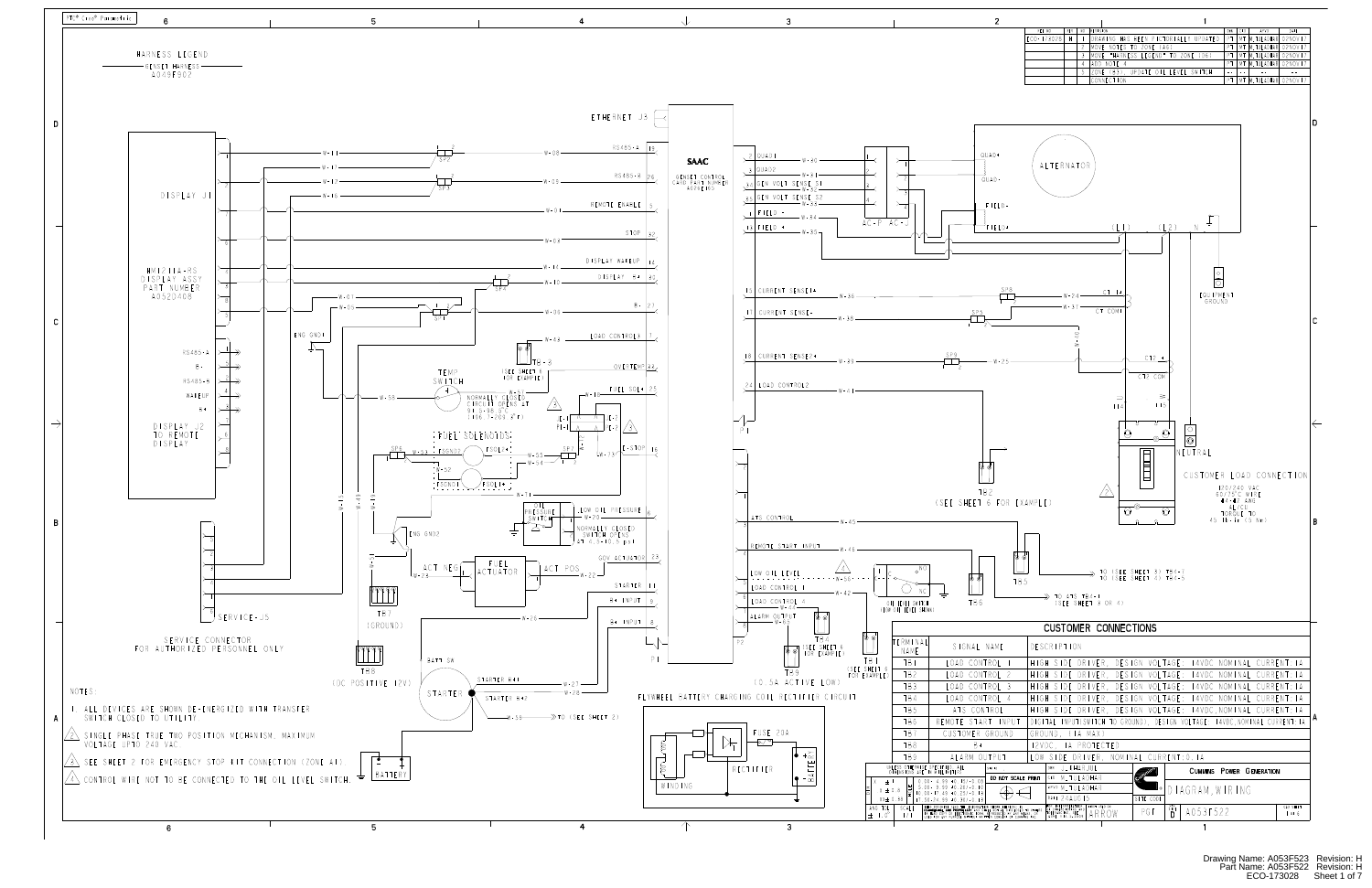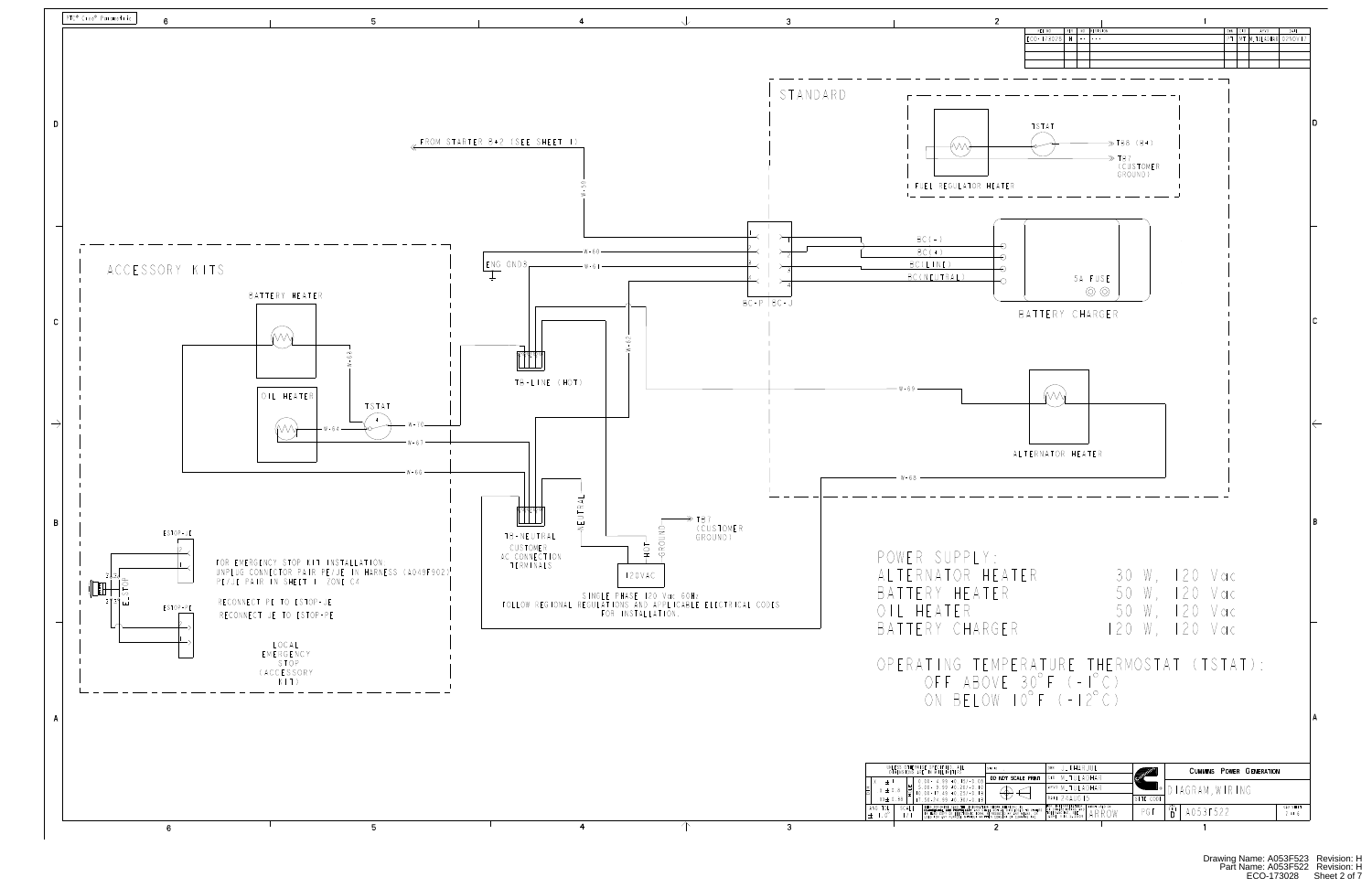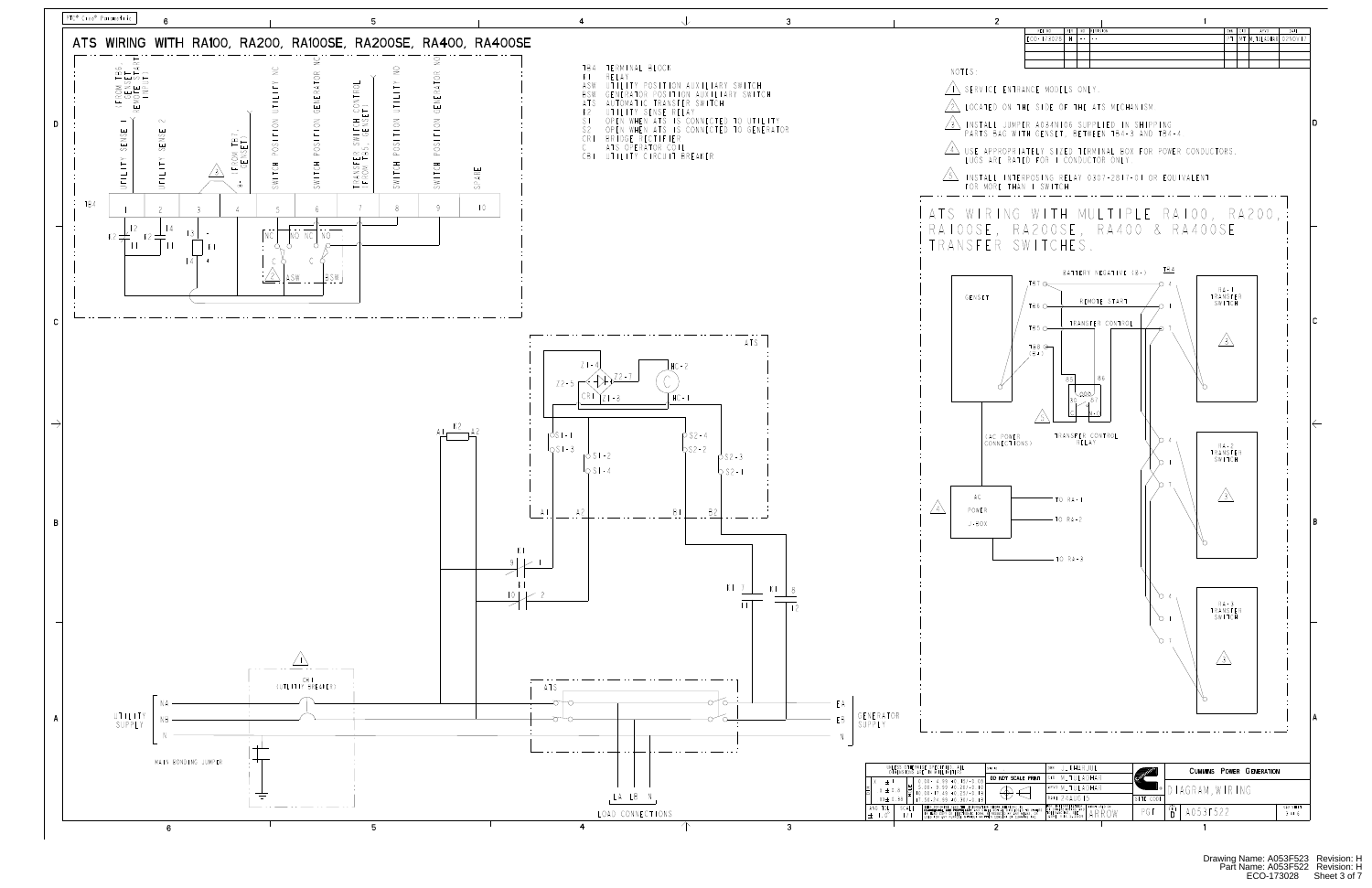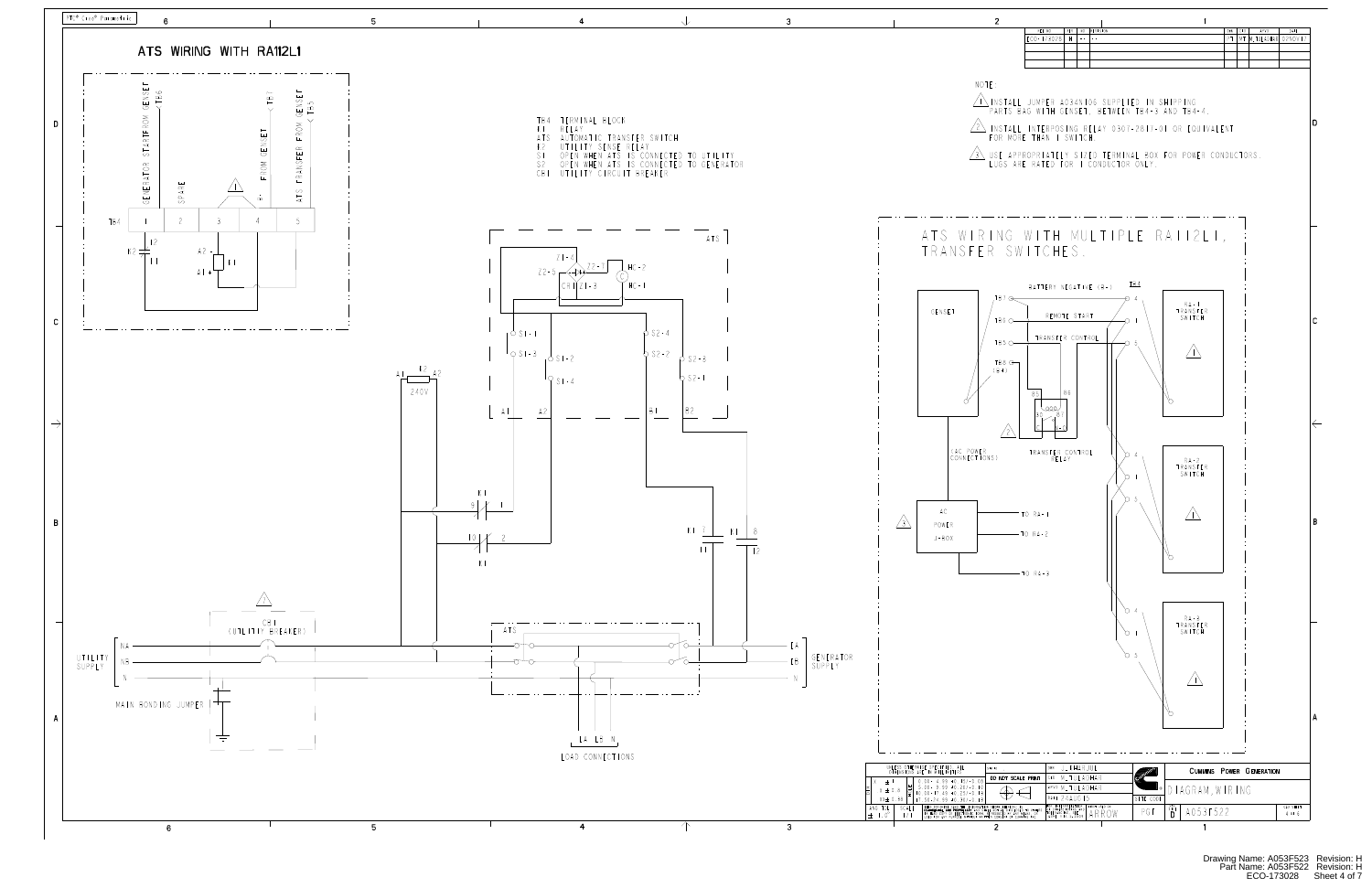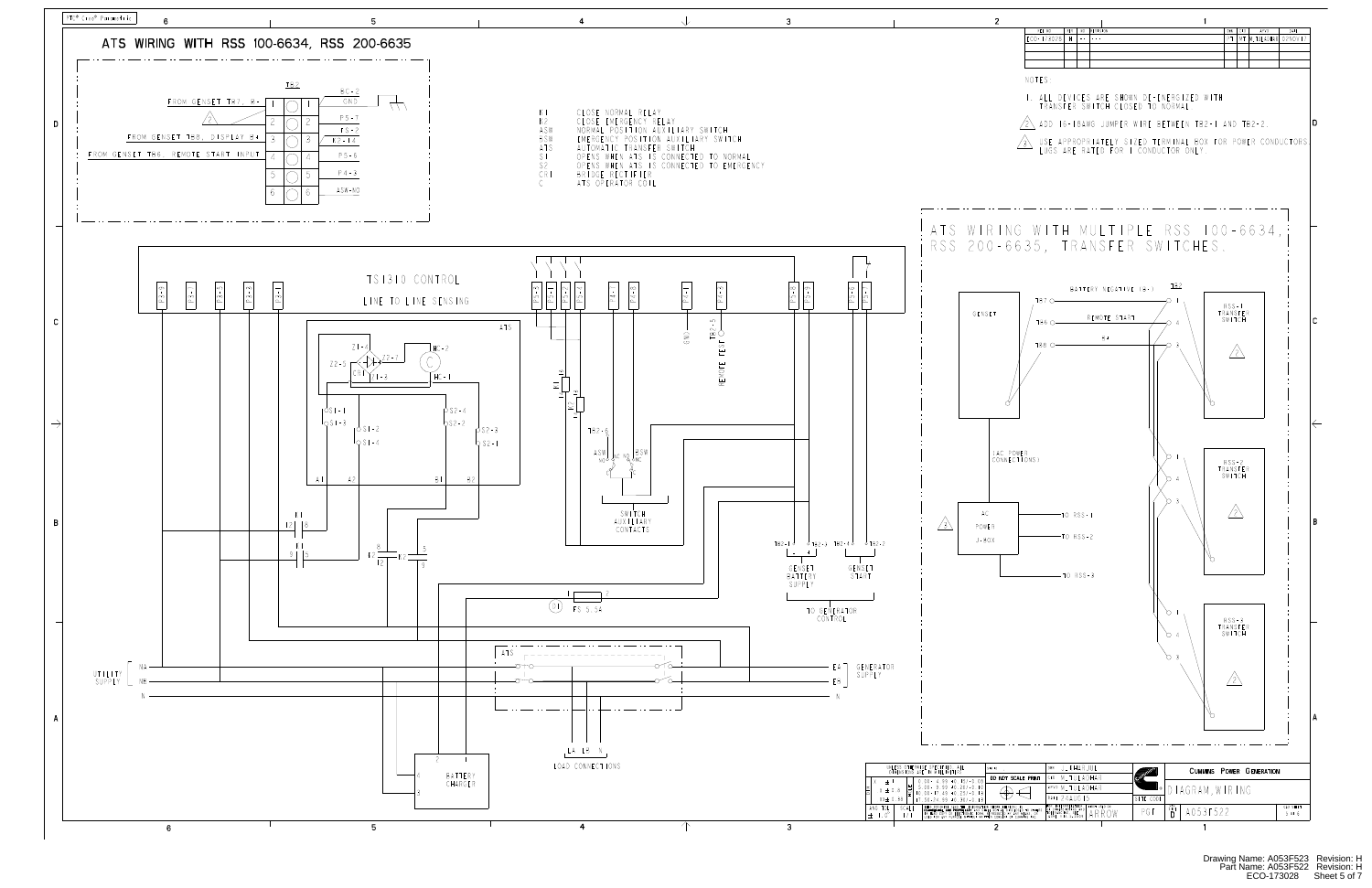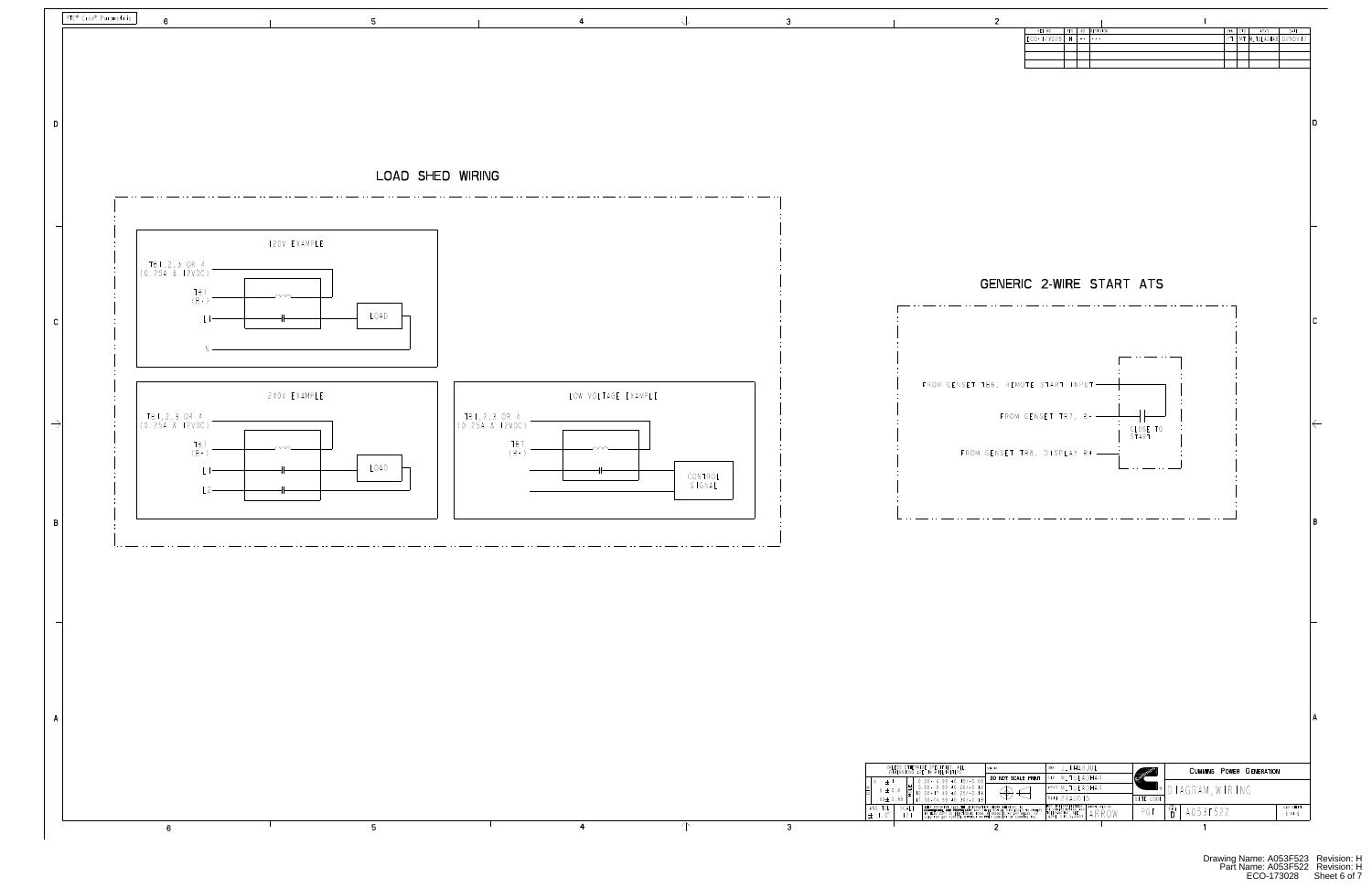